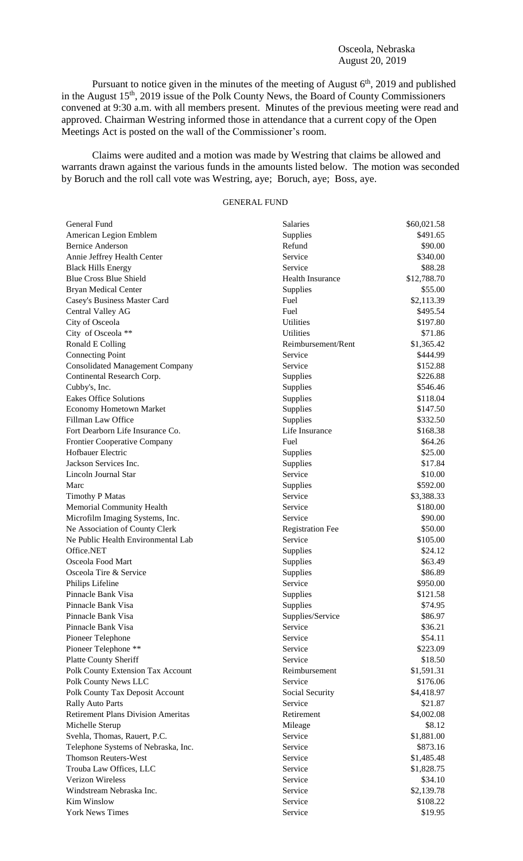## Osceola, Nebraska August 20, 2019

Pursuant to notice given in the minutes of the meeting of August  $6<sup>th</sup>$ , 2019 and published in the August  $15<sup>th</sup>$ , 2019 issue of the Polk County News, the Board of County Commissioners convened at 9:30 a.m. with all members present. Minutes of the previous meeting were read and approved. Chairman Westring informed those in attendance that a current copy of the Open Meetings Act is posted on the wall of the Commissioner's room.

Claims were audited and a motion was made by Westring that claims be allowed and warrants drawn against the various funds in the amounts listed below. The motion was seconded by Boruch and the roll call vote was Westring, aye; Boruch, aye; Boss, aye.

## GENERAL FUND

| General Fund                              | <b>Salaries</b>         | \$60,021.58              |
|-------------------------------------------|-------------------------|--------------------------|
| American Legion Emblem                    | Supplies                | \$491.65                 |
| <b>Bernice Anderson</b>                   | Refund                  | \$90.00                  |
| Annie Jeffrey Health Center               | Service                 | \$340.00                 |
| <b>Black Hills Energy</b>                 | Service                 | \$88.28                  |
| <b>Blue Cross Blue Shield</b>             | <b>Health Insurance</b> | \$12,788.70              |
| <b>Bryan Medical Center</b>               | Supplies                | \$55.00                  |
| Casey's Business Master Card              | Fuel                    | \$2,113.39               |
| Central Valley AG                         | Fuel                    | \$495.54                 |
| City of Osceola                           | Utilities               | \$197.80                 |
| City of Osceola **                        | Utilities               | \$71.86                  |
| Ronald E Colling                          | Reimbursement/Rent      | \$1,365.42               |
| <b>Connecting Point</b>                   | Service                 | \$444.99                 |
| <b>Consolidated Management Company</b>    | Service                 | \$152.88                 |
| Continental Research Corp.                | Supplies                | \$226.88                 |
| Cubby's, Inc.                             | Supplies                | \$546.46                 |
| <b>Eakes Office Solutions</b>             | Supplies                | \$118.04                 |
| <b>Economy Hometown Market</b>            | Supplies                | \$147.50                 |
| Fillman Law Office                        | Supplies                | \$332.50                 |
| Fort Dearborn Life Insurance Co.          | Life Insurance          | \$168.38                 |
| <b>Frontier Cooperative Company</b>       | Fuel                    | \$64.26                  |
| Hofbauer Electric                         | Supplies                | \$25.00                  |
| Jackson Services Inc.                     | Supplies                | \$17.84                  |
| Lincoln Journal Star                      | Service                 | \$10.00                  |
| Marc                                      | Supplies                | \$592.00                 |
| <b>Timothy P Matas</b>                    | Service                 | \$3,388.33               |
| Memorial Community Health                 | Service                 | \$180.00                 |
| Microfilm Imaging Systems, Inc.           | Service                 | \$90.00                  |
| Ne Association of County Clerk            | <b>Registration Fee</b> | \$50.00                  |
| Ne Public Health Environmental Lab        | Service                 | \$105.00                 |
| Office.NET                                | Supplies                | \$24.12                  |
| Osceola Food Mart                         | Supplies                | \$63.49                  |
| Osceola Tire & Service                    | Supplies                | \$86.89                  |
| Philips Lifeline                          | Service                 | \$950.00                 |
| Pinnacle Bank Visa                        | Supplies                | \$121.58                 |
| Pinnacle Bank Visa                        | Supplies                | \$74.95                  |
| Pinnacle Bank Visa                        | Supplies/Service        | \$86.97                  |
| Pinnacle Bank Visa                        | Service                 | \$36.21                  |
| Pioneer Telephone                         | Service                 | \$54.11                  |
| Pioneer Telephone **                      | Service                 | \$223.09                 |
| <b>Platte County Sheriff</b>              | Service                 | \$18.50                  |
| Polk County Extension Tax Account         | Reimbursement           | \$1,591.31               |
| Polk County News LLC                      | Service                 | \$176.06                 |
| Polk County Tax Deposit Account           | Social Security         | \$4,418.97               |
| <b>Rally Auto Parts</b>                   | Service                 | \$21.87                  |
| <b>Retirement Plans Division Ameritas</b> | Retirement              | \$4,002.08               |
| Michelle Sterup                           | Mileage                 | \$8.12                   |
| Svehla, Thomas, Rauert, P.C.              | Service                 | \$1,881.00               |
| Telephone Systems of Nebraska, Inc.       | Service                 | \$873.16                 |
| <b>Thomson Reuters-West</b>               | Service                 |                          |
| Trouba Law Offices, LLC                   | Service                 | \$1,485.48<br>\$1,828.75 |
| <b>Verizon Wireless</b>                   | Service                 | \$34.10                  |
| Windstream Nebraska Inc.                  | Service                 | \$2,139.78               |
| <b>Kim Winslow</b>                        |                         |                          |
|                                           | Service                 | \$108.22                 |
| <b>York News Times</b>                    | Service                 | \$19.95                  |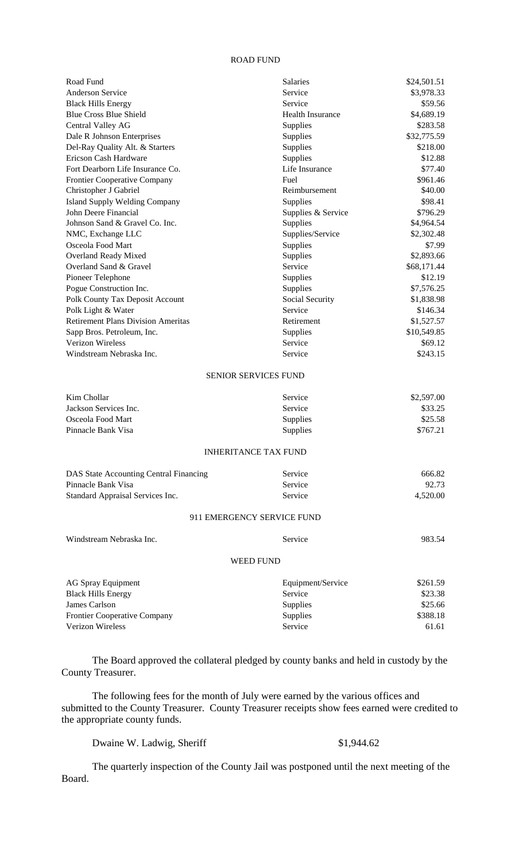## ROAD FUND

| Road Fund                                 | <b>Salaries</b>             | \$24,501.51 |
|-------------------------------------------|-----------------------------|-------------|
| Anderson Service                          | Service                     | \$3,978.33  |
| <b>Black Hills Energy</b>                 | Service                     | \$59.56     |
| <b>Blue Cross Blue Shield</b>             | <b>Health Insurance</b>     | \$4,689.19  |
| Central Valley AG                         | Supplies                    | \$283.58    |
| Dale R Johnson Enterprises                | <b>Supplies</b>             | \$32,775.59 |
| Del-Ray Quality Alt. & Starters           | Supplies                    | \$218.00    |
| Ericson Cash Hardware                     | Supplies                    | \$12.88     |
| Fort Dearborn Life Insurance Co.          | Life Insurance              | \$77.40     |
| Frontier Cooperative Company              | Fuel                        | \$961.46    |
| Christopher J Gabriel                     | Reimbursement               | \$40.00     |
| <b>Island Supply Welding Company</b>      | <b>Supplies</b>             | \$98.41     |
| John Deere Financial                      | Supplies & Service          | \$796.29    |
| Johnson Sand & Gravel Co. Inc.            | Supplies                    | \$4,964.54  |
| NMC, Exchange LLC                         | Supplies/Service            | \$2,302.48  |
| Osceola Food Mart                         | Supplies                    | \$7.99      |
| Overland Ready Mixed                      | Supplies                    | \$2,893.66  |
| Overland Sand & Gravel                    | Service                     | \$68,171.44 |
| Pioneer Telephone                         | Supplies                    | \$12.19     |
| Pogue Construction Inc.                   | <b>Supplies</b>             | \$7,576.25  |
| Polk County Tax Deposit Account           | Social Security             | \$1,838.98  |
| Polk Light & Water                        | Service                     | \$146.34    |
| <b>Retirement Plans Division Ameritas</b> | Retirement                  | \$1,527.57  |
| Sapp Bros. Petroleum, Inc.                | Supplies                    | \$10,549.85 |
| Verizon Wireless                          | Service                     | \$69.12     |
| Windstream Nebraska Inc.                  | Service                     | \$243.15    |
|                                           | <b>SENIOR SERVICES FUND</b> |             |
| Kim Chollar                               | Service                     | \$2,597.00  |
| Jackson Services Inc.                     | Service                     | \$33.25     |
| Osceola Food Mart                         | Supplies                    | \$25.58     |
| Pinnacle Bank Visa                        | Supplies                    | \$767.21    |
|                                           | <b>INHERITANCE TAX FUND</b> |             |
|                                           |                             |             |
| DAS State Accounting Central Financing    | Service                     | 666.82      |
| Pinnacle Bank Visa                        | Service                     | 92.73       |
| Standard Appraisal Services Inc.          | Service                     | 4,520.00    |
|                                           | 911 EMERGENCY SERVICE FUND  |             |
| Windstream Nebraska Inc.                  | Service                     | 983.54      |
|                                           | <b>WEED FUND</b>            |             |
|                                           |                             |             |
| <b>AG Spray Equipment</b>                 | Equipment/Service           | \$261.59    |
| <b>Black Hills Energy</b>                 | Service                     | \$23.38     |
| James Carlson                             | Supplies                    | \$25.66     |
| Frontier Cooperative Company              | Supplies                    | \$388.18    |
| Verizon Wireless                          | Service                     | 61.61       |

The Board approved the collateral pledged by county banks and held in custody by the County Treasurer.

The following fees for the month of July were earned by the various offices and submitted to the County Treasurer. County Treasurer receipts show fees earned were credited to the appropriate county funds.

Dwaine W. Ladwig, Sheriff  $$1,944.62$ 

The quarterly inspection of the County Jail was postponed until the next meeting of the Board.